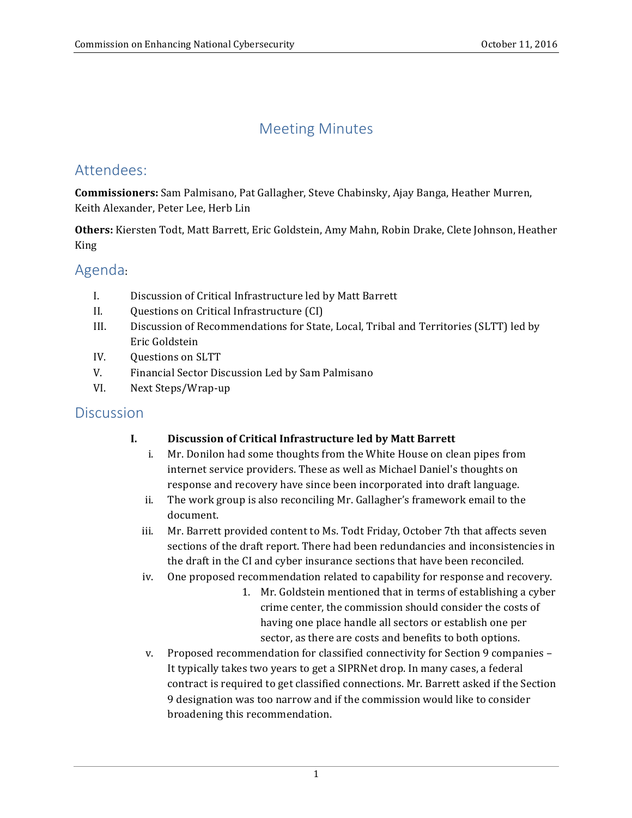# Meeting Minutes

# Attendees:

**Commissioners:** Sam Palmisano, Pat Gallagher, Steve Chabinsky, Ajay Banga, Heather Murren, Keith Alexander, Peter Lee, Herb Lin

Others: Kiersten Todt, Matt Barrett, Eric Goldstein, Amy Mahn, Robin Drake, Clete Johnson, Heather King

## Agenda:

- I. Discussion of Critical Infrastructure led by Matt Barrett
- II. Questions on Critical Infrastructure (CI)
- III. Discussion of Recommendations for State, Local, Tribal and Territories (SLTT) led by Eric Goldstein
- IV. Questions on SLTT
- V. Financial Sector Discussion Led by Sam Palmisano
- VI. Next Steps/Wrap-up

## **Discussion**

## **I. Discussion of Critical Infrastructure led by Matt Barrett**

- i. Mr. Donilon had some thoughts from the White House on clean pipes from internet service providers. These as well as Michael Daniel's thoughts on response and recovery have since been incorporated into draft language.
- ii. The work group is also reconciling Mr. Gallagher's framework email to the document.
- iii. Mr. Barrett provided content to Ms. Todt Friday, October 7th that affects seven sections of the draft report. There had been redundancies and inconsistencies in the draft in the CI and cyber insurance sections that have been reconciled.
- iv. One proposed recommendation related to capability for response and recovery.
	- 1. Mr. Goldstein mentioned that in terms of establishing a cyber crime center, the commission should consider the costs of having one place handle all sectors or establish one per sector, as there are costs and benefits to both options.
- v. Proposed recommendation for classified connectivity for Section 9 companies -It typically takes two years to get a SIPRNet drop. In many cases, a federal contract is required to get classified connections. Mr. Barrett asked if the Section 9 designation was too narrow and if the commission would like to consider broadening this recommendation.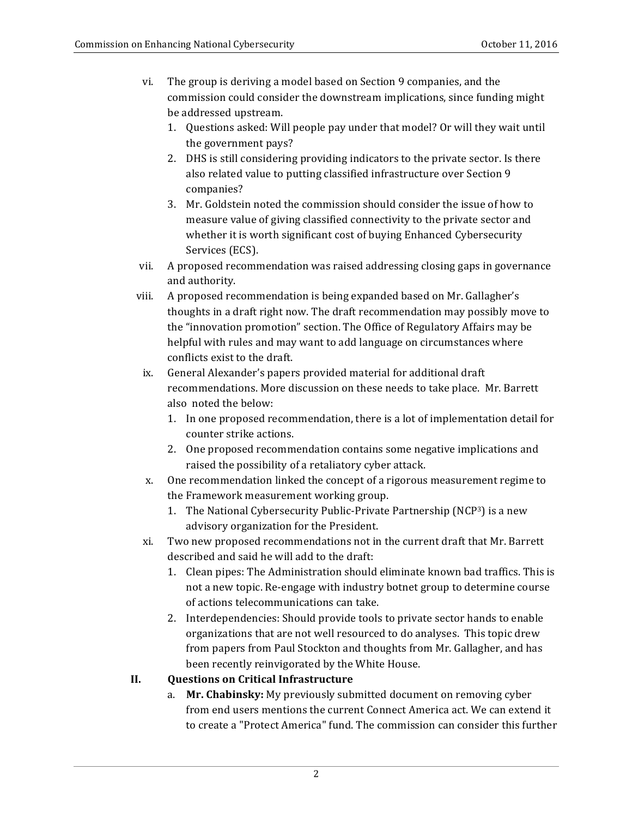- vi. The group is deriving a model based on Section 9 companies, and the commission could consider the downstream implications, since funding might be addressed upstream.
	- 1. Questions asked: Will people pay under that model? Or will they wait until the government pays?
	- 2. DHS is still considering providing indicators to the private sector. Is there also related value to putting classified infrastructure over Section 9 companies?
	- 3. Mr. Goldstein noted the commission should consider the issue of how to measure value of giving classified connectivity to the private sector and whether it is worth significant cost of buying Enhanced Cybersecurity Services (ECS).
- vii. A proposed recommendation was raised addressing closing gaps in governance and authority.
- viii. A proposed recommendation is being expanded based on Mr. Gallagher's thoughts in a draft right now. The draft recommendation may possibly move to the "innovation promotion" section. The Office of Regulatory Affairs may be helpful with rules and may want to add language on circumstances where conflicts exist to the draft.
- ix. General Alexander's papers provided material for additional draft recommendations. More discussion on these needs to take place. Mr. Barrett also noted the below:
	- 1. In one proposed recommendation, there is a lot of implementation detail for counter strike actions.
	- 2. One proposed recommendation contains some negative implications and raised the possibility of a retaliatory cyber attack.
- x. One recommendation linked the concept of a rigorous measurement regime to the Framework measurement working group.
	- 1. The National Cybersecurity Public-Private Partnership (NCP<sup>3</sup>) is a new advisory organization for the President.
- xi. Two new proposed recommendations not in the current draft that Mr. Barrett described and said he will add to the draft:
	- 1. Clean pipes: The Administration should eliminate known bad traffics. This is not a new topic. Re-engage with industry botnet group to determine course of actions telecommunications can take.
	- 2. Interdependencies: Should provide tools to private sector hands to enable organizations that are not well resourced to do analyses. This topic drew from papers from Paul Stockton and thoughts from Mr. Gallagher, and has been recently reinvigorated by the White House.

#### **II. Questions on Critical Infrastructure**

a. Mr. Chabinsky: My previously submitted document on removing cyber from end users mentions the current Connect America act. We can extend it to create a "Protect America" fund. The commission can consider this further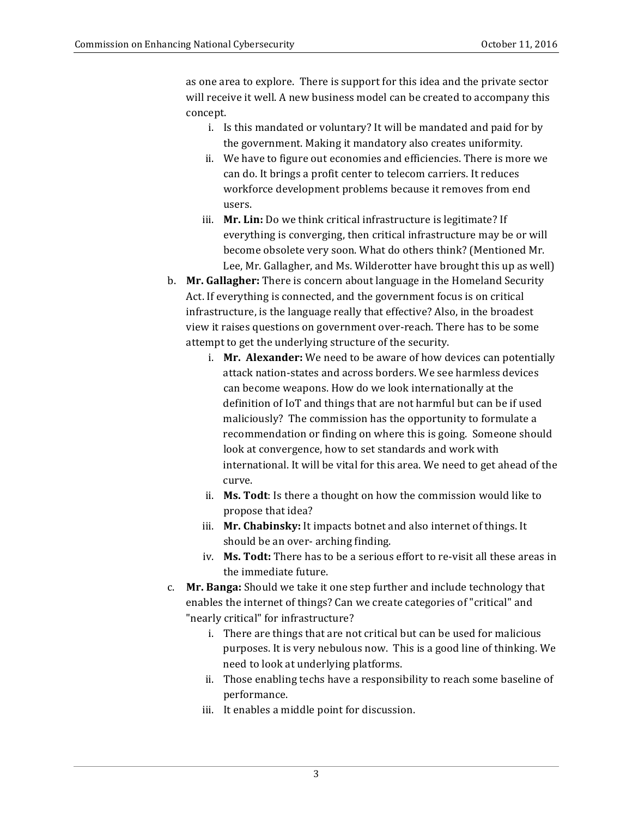as one area to explore. There is support for this idea and the private sector will receive it well. A new business model can be created to accompany this concept. 

- i. Is this mandated or voluntary? It will be mandated and paid for by the government. Making it mandatory also creates uniformity.
- ii. We have to figure out economies and efficiencies. There is more we can do. It brings a profit center to telecom carriers. It reduces workforce development problems because it removes from end users.
- iii. Mr. Lin: Do we think critical infrastructure is legitimate? If everything is converging, then critical infrastructure may be or will become obsolete very soon. What do others think? (Mentioned Mr. Lee, Mr. Gallagher, and Ms. Wilderotter have brought this up as well)
- b. Mr. Gallagher: There is concern about language in the Homeland Security infrastructure, is the language really that effective? Also, in the broadest view it raises questions on government over-reach. There has to be some attempt to get the underlying structure of the security. Act. If everything is connected, and the government focus is on critical
	- i. Mr. Alexander: We need to be aware of how devices can potentially attack nation-states and across borders. We see harmless devices can become weapons. How do we look internationally at the definition of IoT and things that are not harmful but can be if used maliciously? The commission has the opportunity to formulate a recommendation or finding on where this is going. Someone should look at convergence, how to set standards and work with international. It will be vital for this area. We need to get ahead of the curve.
	- ii. Ms. Todt: Is there a thought on how the commission would like to propose that idea?
	- iii. Mr. Chabinsky: It impacts botnet and also internet of things. It should be an over- arching finding.
	- iv. Ms. Todt: There has to be a serious effort to re-visit all these areas in the immediate future.
- c. **Mr. Banga:** Should we take it one step further and include technology that enables the internet of things? Can we create categories of "critical" and "nearly critical" for infrastructure?
	- i. There are things that are not critical but can be used for malicious purposes. It is very nebulous now. This is a good line of thinking. We need to look at underlying platforms.
	- ii. Those enabling techs have a responsibility to reach some baseline of performance.
	- iii. It enables a middle point for discussion.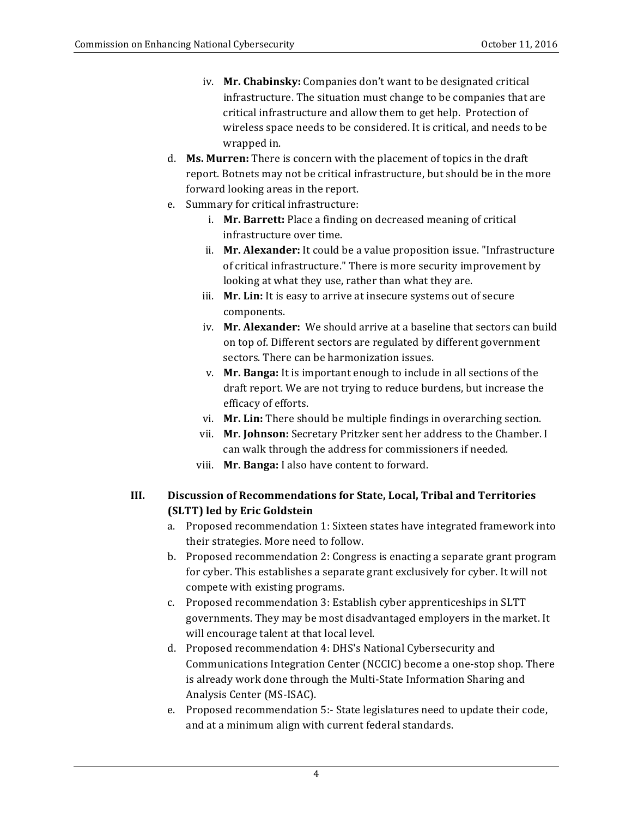- iv. Mr. Chabinsky: Companies don't want to be designated critical infrastructure. The situation must change to be companies that are critical infrastructure and allow them to get help. Protection of wireless space needs to be considered. It is critical, and needs to be wrapped in.
- d. **Ms. Murren:** There is concern with the placement of topics in the draft report. Botnets may not be critical infrastructure, but should be in the more forward looking areas in the report.
- e. Summary for critical infrastructure:
	- i. Mr. Barrett: Place a finding on decreased meaning of critical infrastructure over time.
	- ii. Mr. Alexander: It could be a value proposition issue. "Infrastructure of critical infrastructure." There is more security improvement by looking at what they use, rather than what they are.
	- iii. Mr. Lin: It is easy to arrive at insecure systems out of secure components.
	- iv. Mr. Alexander: We should arrive at a baseline that sectors can build on top of. Different sectors are regulated by different government sectors. There can be harmonization issues.
	- v. Mr. Banga: It is important enough to include in all sections of the draft report. We are not trying to reduce burdens, but increase the efficacy of efforts.
	- vi. **Mr. Lin:** There should be multiple findings in overarching section.
	- vii. Mr. **Johnson:** Secretary Pritzker sent her address to the Chamber. I can walk through the address for commissioners if needed.
	- viii. Mr. Banga: I also have content to forward.

## **III. Discussion of Recommendations for State, Local, Tribal and Territories (SLTT) led by Eric Goldstein**

- a. Proposed recommendation 1: Sixteen states have integrated framework into their strategies. More need to follow.
- b. Proposed recommendation 2: Congress is enacting a separate grant program for cyber. This establishes a separate grant exclusively for cyber. It will not compete with existing programs.
- c. Proposed recommendation 3: Establish cyber apprenticeships in SLTT governments. They may be most disadvantaged employers in the market. It will encourage talent at that local level.
- d. Proposed recommendation 4: DHS's National Cybersecurity and Communications Integration Center (NCCIC) become a one-stop shop. There is already work done through the Multi-State Information Sharing and Analysis Center (MS-ISAC).
- e. Proposed recommendation 5:- State legislatures need to update their code, and at a minimum align with current federal standards.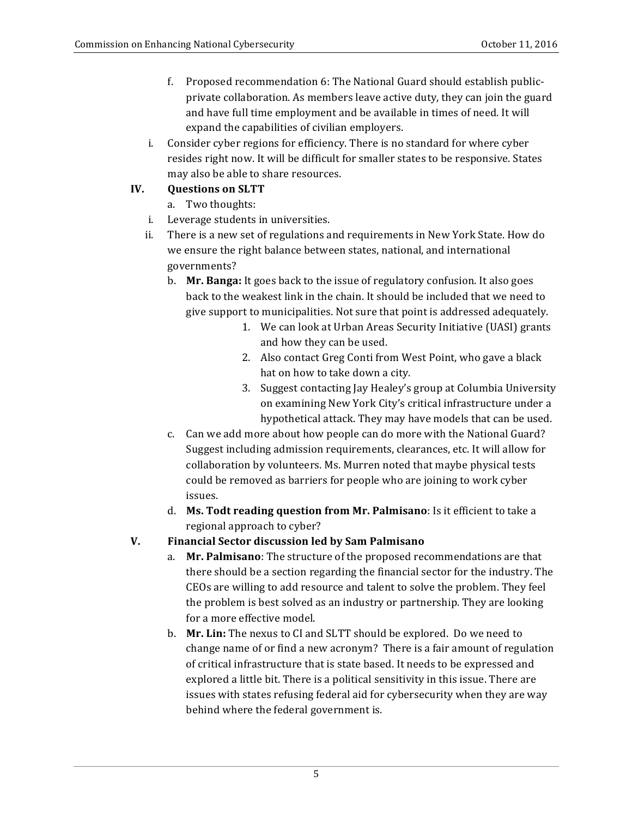- f. Proposed recommendation 6: The National Guard should establish publicprivate collaboration. As members leave active duty, they can join the guard and have full time employment and be available in times of need. It will expand the capabilities of civilian employers.
- i. Consider cyber regions for efficiency. There is no standard for where cyber resides right now. It will be difficult for smaller states to be responsive. States may also be able to share resources.

## **IV. Questions on SLTT**

- a. Two thoughts:
- i. Leverage students in universities.
- ii. There is a new set of regulations and requirements in New York State. How do we ensure the right balance between states, national, and international governments?
	- b. Mr. Banga: It goes back to the issue of regulatory confusion. It also goes back to the weakest link in the chain. It should be included that we need to give support to municipalities. Not sure that point is addressed adequately.
		- 1. We can look at Urban Areas Security Initiative (UASI) grants and how they can be used.
		- 2. Also contact Greg Conti from West Point, who gave a black hat on how to take down a city.
		- 3. Suggest contacting Jay Healey's group at Columbia University on examining New York City's critical infrastructure under a hypothetical attack. They may have models that can be used.
	- c. Can we add more about how people can do more with the National Guard? Suggest including admission requirements, clearances, etc. It will allow for collaboration by volunteers. Ms. Murren noted that maybe physical tests could be removed as barriers for people who are joining to work cyber issues.
	- d. Ms. Todt reading question from Mr. Palmisano: Is it efficient to take a regional approach to cyber?

### **V. Financial Sector discussion led by Sam Palmisano**

- a. **Mr. Palmisano**: The structure of the proposed recommendations are that there should be a section regarding the financial sector for the industry. The CEOs are willing to add resource and talent to solve the problem. They feel the problem is best solved as an industry or partnership. They are looking for a more effective model.
- b. **Mr. Lin:** The nexus to CI and SLTT should be explored. Do we need to change name of or find a new acronym? There is a fair amount of regulation of critical infrastructure that is state based. It needs to be expressed and explored a little bit. There is a political sensitivity in this issue. There are issues with states refusing federal aid for cybersecurity when they are way behind where the federal government is.